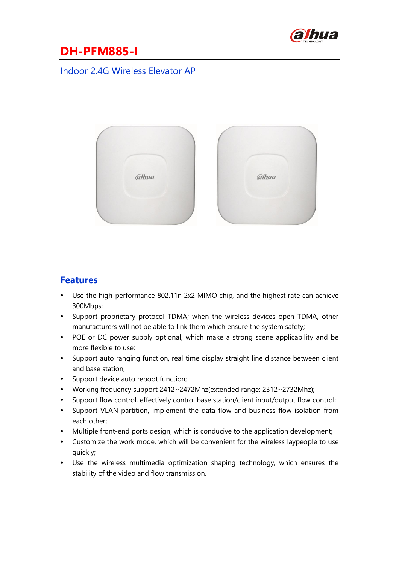

#### Indoor 2.4G Wireless Elevator AP



#### **Features**

- Use the high-performance 802.11n 2x2 MIMO chip, and the highest rate can achieve 300Mbps;
- Support proprietary protocol TDMA; when the wireless devices open TDMA, other manufacturers will not be able to link them which ensure the system safety;
- POE or DC power supply optional, which make a strong scene applicability and be more flexible to use;
- Support auto ranging function, real time display straight line distance between client and base station;
- Support device auto reboot function;
- Working frequency support 2412~2472Mhz(extended range: 2312~2732Mhz);
- Support flow control, effectively control base station/client input/output flow control;
- Support VLAN partition, implement the data flow and business flow isolation from each other;
- Multiple front-end ports design, which is conducive to the application development;
- Customize the work mode, which will be convenient for the wireless laypeople to use quickly;
- Use the wireless multimedia optimization shaping technology, which ensures the stability of the video and flow transmission.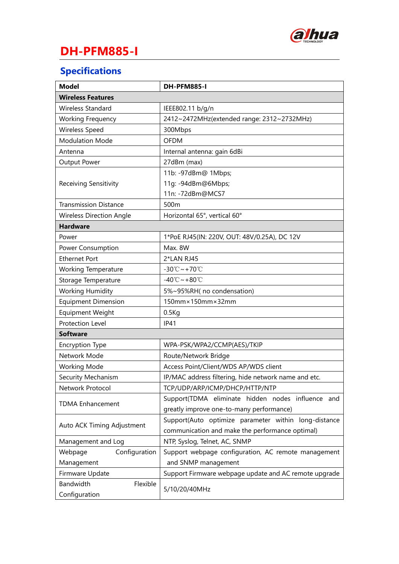

# **Specifications**

| <b>Model</b>                    | DH-PFM885-I                                           |
|---------------------------------|-------------------------------------------------------|
| <b>Wireless Features</b>        |                                                       |
| Wireless Standard               | IEEE802.11 b/g/n                                      |
| <b>Working Frequency</b>        | 2412~2472MHz(extended range: 2312~2732MHz)            |
| Wireless Speed                  | 300Mbps                                               |
| <b>Modulation Mode</b>          | <b>OFDM</b>                                           |
| Antenna                         | Internal antenna: gain 6dBi                           |
| Output Power                    | 27dBm (max)                                           |
| Receiving Sensitivity           | 11b: -97dBm@ 1Mbps;                                   |
|                                 | 11g: -94dBm@6Mbps;                                    |
|                                 | 11n: -72dBm@MCS7                                      |
| <b>Transmission Distance</b>    | 500m                                                  |
| <b>Wireless Direction Angle</b> | Horizontal 65°, vertical 60°                          |
| <b>Hardware</b>                 |                                                       |
| Power                           | 1*PoE RJ45(IN: 220V, OUT: 48V/0.25A), DC 12V          |
| Power Consumption               | Max. 8W                                               |
| <b>Ethernet Port</b>            | 2*LAN RJ45                                            |
| <b>Working Temperature</b>      | $-30^{\circ}\text{C} \sim +70^{\circ}\text{C}$        |
| Storage Temperature             | $-40^{\circ}$ C ~ +80 $^{\circ}$ C                    |
| <b>Working Humidity</b>         | 5%~95%RH(no condensation)                             |
| <b>Equipment Dimension</b>      | 150mm×150mm×32mm                                      |
| <b>Equipment Weight</b>         | 0.5Kg                                                 |
| Protection Level                | <b>IP41</b>                                           |
| <b>Software</b>                 |                                                       |
| <b>Encryption Type</b>          | WPA-PSK/WPA2/CCMP(AES)/TKIP                           |
| Network Mode                    | Route/Network Bridge                                  |
| <b>Working Mode</b>             | Access Point/Client/WDS AP/WDS client                 |
| Security Mechanism              | IP/MAC address filtering, hide network name and etc.  |
| Network Protocol                | TCP/UDP/ARP/ICMP/DHCP/HTTP/NTP                        |
| <b>TDMA Enhancement</b>         | Support(TDMA eliminate hidden nodes influence and     |
|                                 | greatly improve one-to-many performance)              |
| Auto ACK Timing Adjustment      | Support(Auto optimize parameter within long-distance  |
|                                 | communication and make the performance optimal)       |
| Management and Log              | NTP, Syslog, Telnet, AC, SNMP                         |
| Configuration<br>Webpage        | Support webpage configuration, AC remote management   |
| Management                      | and SNMP management                                   |
| Firmware Update                 | Support Firmware webpage update and AC remote upgrade |
| Bandwidth<br>Flexible           | 5/10/20/40MHz                                         |
| Configuration                   |                                                       |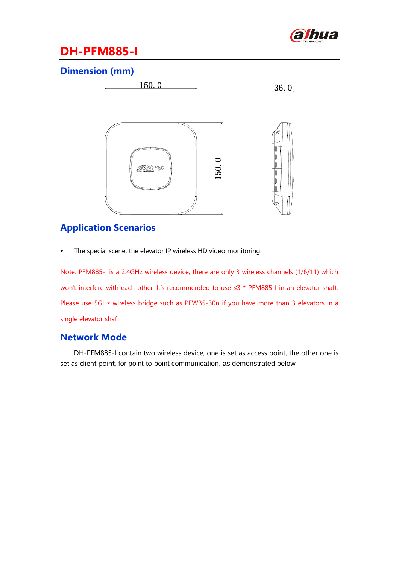

### **Dimension (mm)**



### **Application Scenarios**

The special scene: the elevator IP wireless HD video monitoring.

Note: PFM885-I is a 2.4GHz wireless device, there are only 3 wireless channels (1/6/11) which won't interfere with each other. It's recommended to use ≤3 \* PFM885-I in an elevator shaft. Please use 5GHz wireless bridge such as PFWB5-30n if you have more than 3 elevators in a single elevator shaft.

#### **Network Mode**

DH-PFM885-I contain two wireless device, one is set as access point, the other one is set as client point, for point-to-point communication, as demonstrated below.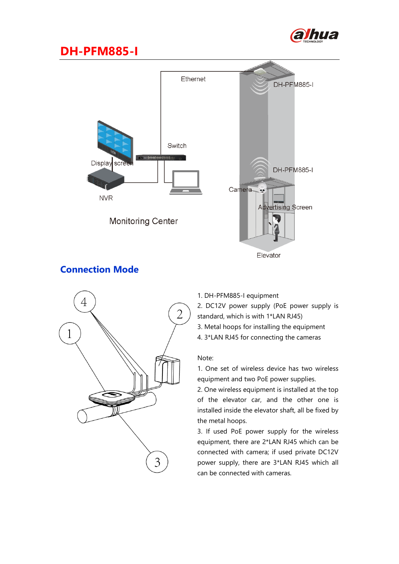



#### **Connection Mode**



- 1. DH-PFM885-I equipment
- 2. DC12V power supply (PoE power supply is standard, which is with 1\*LAN RJ45)
- 3. Metal hoops for installing the equipment
- 4. 3\*LAN RJ45 for connecting the cameras

#### Note:

1. One set of wireless device has two wireless equipment and two PoE power supplies.

2. One wireless equipment is installed at the top of the elevator car, and the other one is installed inside the elevator shaft, all be fixed by the metal hoops.

3. If used PoE power supply for the wireless equipment, there are 2\*LAN RJ45 which can be connected with camera; if used private DC12V power supply, there are 3\*LAN RJ45 which all can be connected with cameras.